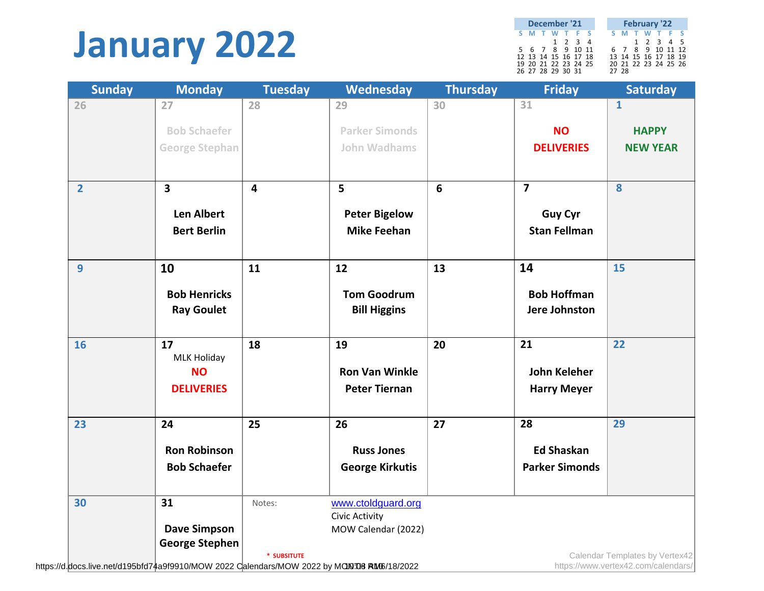### **January 2022**

| December '21<br>S M T W T F S |                      |  |  |                 |  |  |       | <b>February '22</b>  |  |  |
|-------------------------------|----------------------|--|--|-----------------|--|--|-------|----------------------|--|--|
|                               |                      |  |  |                 |  |  |       | <b>SMTWTFS</b>       |  |  |
|                               |                      |  |  | $1 \t2 \t3 \t4$ |  |  |       | 1 2 3 4 5            |  |  |
|                               | 5 6 7 8 9 10 11      |  |  |                 |  |  |       | 6 7 8 9 10 11 12     |  |  |
|                               | 12 13 14 15 16 17 18 |  |  |                 |  |  |       | 13 14 15 16 17 18 19 |  |  |
|                               | 19 20 21 22 23 24 25 |  |  |                 |  |  |       | 20 21 22 23 24 25 26 |  |  |
|                               | 26 27 28 29 30 31    |  |  |                 |  |  | 27 28 |                      |  |  |

| <b>Sunday</b>  | <b>Monday</b>                                | <b>Tuesday</b>          | <b>Wednesday</b>       | <b>Thursday</b> | <b>Friday</b>           | <b>Saturday</b>                |
|----------------|----------------------------------------------|-------------------------|------------------------|-----------------|-------------------------|--------------------------------|
| 26             | 27                                           | 28                      | 29                     | 30              | 31                      | $\mathbf{1}$                   |
|                | <b>Bob Schaefer</b>                          |                         | <b>Parker Simonds</b>  |                 | <b>NO</b>               | <b>HAPPY</b>                   |
|                | <b>George Stephan</b>                        |                         | <b>John Wadhams</b>    |                 | <b>DELIVERIES</b>       | <b>NEW YEAR</b>                |
|                |                                              |                         |                        |                 |                         |                                |
| $\overline{2}$ | 3                                            | $\overline{\mathbf{4}}$ | 5                      | 6               | $\overline{\mathbf{z}}$ | 8                              |
|                | <b>Len Albert</b>                            |                         | <b>Peter Bigelow</b>   |                 | <b>Guy Cyr</b>          |                                |
|                | <b>Bert Berlin</b>                           |                         | <b>Mike Feehan</b>     |                 | <b>Stan Fellman</b>     |                                |
|                |                                              |                         |                        |                 |                         |                                |
| $\overline{9}$ | 10                                           | 11                      | 12                     | 13              | 14                      | 15                             |
|                | <b>Bob Henricks</b>                          |                         | <b>Tom Goodrum</b>     |                 | <b>Bob Hoffman</b>      |                                |
|                | <b>Ray Goulet</b>                            |                         | <b>Bill Higgins</b>    |                 | <b>Jere Johnston</b>    |                                |
|                |                                              |                         |                        |                 |                         |                                |
| 16             | 17                                           | 18                      | 19                     | 20              | 21                      | 22                             |
|                | <b>MLK Holiday</b>                           |                         |                        |                 |                         |                                |
|                | <b>NO</b>                                    |                         | <b>Ron Van Winkle</b>  |                 | <b>John Keleher</b>     |                                |
|                | <b>DELIVERIES</b>                            |                         | <b>Peter Tiernan</b>   |                 | <b>Harry Meyer</b>      |                                |
| 23             | 24                                           | 25                      | 26                     | 27              | 28                      | 29                             |
|                | <b>Ron Robinson</b>                          |                         | <b>Russ Jones</b>      |                 | <b>Ed Shaskan</b>       |                                |
|                | <b>Bob Schaefer</b>                          |                         | <b>George Kirkutis</b> |                 | <b>Parker Simonds</b>   |                                |
|                |                                              |                         |                        |                 |                         |                                |
| 30             | 31                                           | Notes:                  | www.ctoldguard.org     |                 |                         |                                |
|                |                                              |                         | <b>Civic Activity</b>  |                 |                         |                                |
|                | <b>Dave Simpson</b><br><b>George Stephen</b> |                         | MOW Calendar (2022)    |                 |                         |                                |
|                |                                              | * SUBSITUTE             |                        |                 |                         | Calendar Templates by Vertex42 |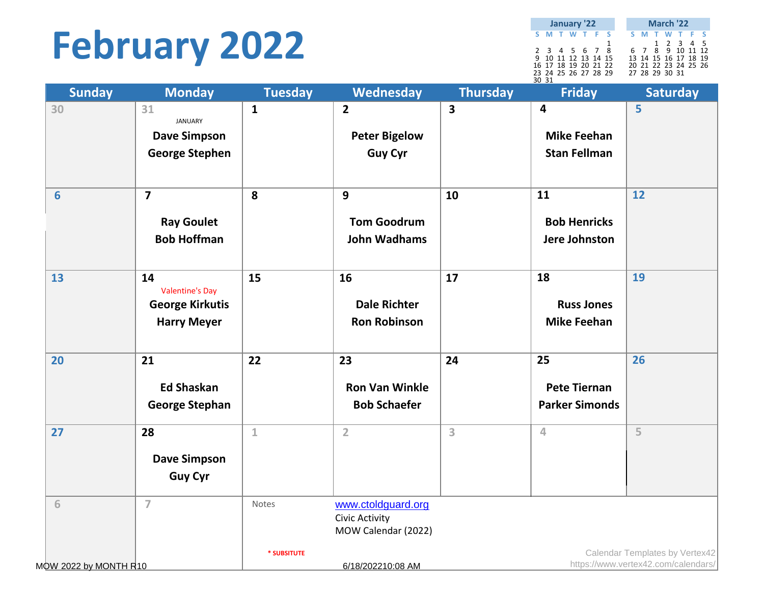# **February 2022**

|                      | January '22 |  |   | March '22 |  |  |                      |  |  |  |
|----------------------|-------------|--|---|-----------|--|--|----------------------|--|--|--|
| S M T W T F S        |             |  |   |           |  |  | S M T W T F S        |  |  |  |
|                      |             |  | 1 |           |  |  | 1 2 3 4 5            |  |  |  |
| 2 3 4 5 6 7 8        |             |  |   |           |  |  | 6 7 8 9 10 11 12     |  |  |  |
| 9 10 11 12 13 14 15  |             |  |   |           |  |  | 13 14 15 16 17 18 19 |  |  |  |
| 16 17 18 19 20 21 22 |             |  |   |           |  |  | 20 21 22 23 24 25 26 |  |  |  |
| 23 24 25 26 27 28 29 |             |  |   |           |  |  | 27 28 29 30 31       |  |  |  |
| 3031                 |             |  |   |           |  |  |                      |  |  |  |

I.

| <b>Sunday</b>         | <b>Monday</b>                         | <b>Tuesday</b> | Wednesday                             | <b>Thursday</b>         | <b>Friday</b>         | <b>Saturday</b>                     |
|-----------------------|---------------------------------------|----------------|---------------------------------------|-------------------------|-----------------------|-------------------------------------|
| 30                    | 31                                    | $\mathbf{1}$   | $\mathbf{2}$                          | $\overline{\mathbf{3}}$ | $\overline{4}$        | 5                                   |
|                       | <b>JANUARY</b><br><b>Dave Simpson</b> |                | <b>Peter Bigelow</b>                  |                         | <b>Mike Feehan</b>    |                                     |
|                       | <b>George Stephen</b>                 |                | <b>Guy Cyr</b>                        |                         | <b>Stan Fellman</b>   |                                     |
|                       |                                       |                |                                       |                         |                       |                                     |
| $6\phantom{1}6$       | $\overline{\mathbf{z}}$               | 8              | 9                                     | 10                      | 11                    | 12                                  |
|                       | <b>Ray Goulet</b>                     |                | <b>Tom Goodrum</b>                    |                         | <b>Bob Henricks</b>   |                                     |
|                       | <b>Bob Hoffman</b>                    |                | <b>John Wadhams</b>                   |                         | Jere Johnston         |                                     |
|                       |                                       |                |                                       |                         |                       |                                     |
| 13                    | 14                                    | 15             | 16                                    | 17                      | 18                    | 19                                  |
|                       | <b>Valentine's Day</b>                |                |                                       |                         |                       |                                     |
|                       | <b>George Kirkutis</b>                |                | <b>Dale Richter</b>                   |                         | <b>Russ Jones</b>     |                                     |
|                       | <b>Harry Meyer</b>                    |                | <b>Ron Robinson</b>                   |                         | <b>Mike Feehan</b>    |                                     |
| 20                    | 21                                    | 22             | 23                                    | 24                      | 25                    | 26                                  |
|                       | <b>Ed Shaskan</b>                     |                | <b>Ron Van Winkle</b>                 |                         | <b>Pete Tiernan</b>   |                                     |
|                       | <b>George Stephan</b>                 |                | <b>Bob Schaefer</b>                   |                         | <b>Parker Simonds</b> |                                     |
|                       |                                       |                |                                       |                         |                       |                                     |
| 27                    | 28                                    | $\mathbf 1$    | $\overline{2}$                        | 3                       | 4                     | 5                                   |
|                       | <b>Dave Simpson</b>                   |                |                                       |                         |                       |                                     |
|                       | <b>Guy Cyr</b>                        |                |                                       |                         |                       |                                     |
|                       |                                       |                |                                       |                         |                       |                                     |
| 6                     | $\overline{7}$                        | Notes          | www.ctoldguard.org                    |                         |                       |                                     |
|                       |                                       |                | Civic Activity<br>MOW Calendar (2022) |                         |                       |                                     |
|                       |                                       | * SUBSITUTE    |                                       |                         |                       | Calendar Templates by Vertex42      |
| MOW 2022 by MONTH R10 |                                       |                | 6/18/202210:08 AM                     |                         |                       | https://www.vertex42.com/calendars/ |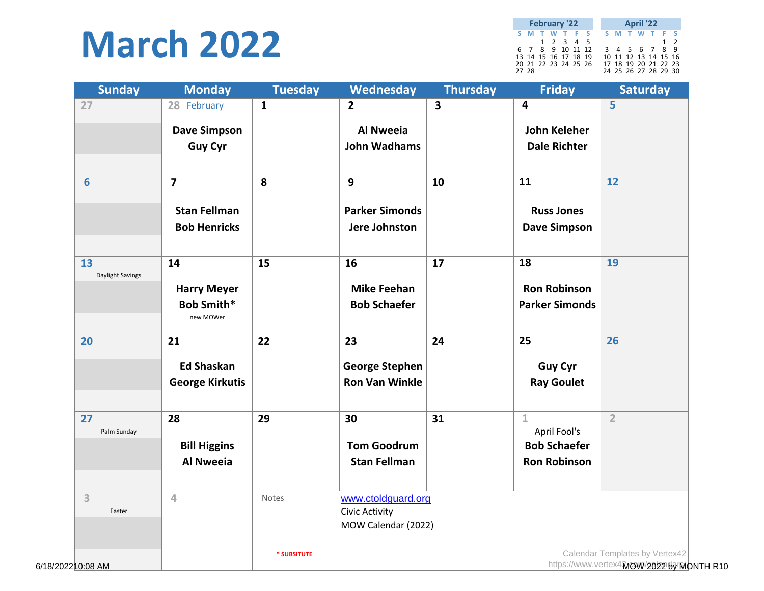#### **March 2022**

|       | <b>February '22</b>  |  |  |  |  | <b>April '22</b>     |          |  |
|-------|----------------------|--|--|--|--|----------------------|----------|--|
|       | S M T W T F S        |  |  |  |  | S M T W T F S        |          |  |
|       | 1 2 3 4 5            |  |  |  |  |                      | $1\quad$ |  |
|       | 6 7 8 9 10 11 12     |  |  |  |  | 3 4 5 6 7 8 9        |          |  |
|       | 13 14 15 16 17 18 19 |  |  |  |  | 10 11 12 13 14 15 16 |          |  |
|       | 20 21 22 23 24 25 26 |  |  |  |  | 17 18 19 20 21 22 23 |          |  |
| 27 28 |                      |  |  |  |  | 24 25 26 27 28 29 30 |          |  |

| <b>Sunday</b>     | <b>Monday</b>                           | <b>Tuesday</b> | Wednesday                            | <b>Thursday</b> | <b>Friday</b>         | <b>Saturday</b>                         |
|-------------------|-----------------------------------------|----------------|--------------------------------------|-----------------|-----------------------|-----------------------------------------|
| 27                | 28 February                             | $\mathbf{1}$   | $\overline{2}$                       | 3               | 4                     | 5                                       |
|                   | <b>Dave Simpson</b>                     |                | <b>Al Nweeia</b>                     |                 | <b>John Keleher</b>   |                                         |
|                   | <b>Guy Cyr</b>                          |                | <b>John Wadhams</b>                  |                 | <b>Dale Richter</b>   |                                         |
|                   |                                         |                |                                      |                 |                       |                                         |
| $6\phantom{1}$    | $\overline{7}$                          | 8              | $\mathbf{9}$                         | 10              | 11                    | 12                                      |
|                   | <b>Stan Fellman</b>                     |                | <b>Parker Simonds</b>                |                 | <b>Russ Jones</b>     |                                         |
|                   | <b>Bob Henricks</b>                     |                | Jere Johnston                        |                 | <b>Dave Simpson</b>   |                                         |
|                   |                                         |                |                                      |                 |                       |                                         |
| 13                | 14                                      | 15             | 16                                   | 17              | 18                    | 19                                      |
| Daylight Savings  |                                         |                | <b>Mike Feehan</b>                   |                 | <b>Ron Robinson</b>   |                                         |
|                   | <b>Harry Meyer</b><br><b>Bob Smith*</b> |                | <b>Bob Schaefer</b>                  |                 | <b>Parker Simonds</b> |                                         |
|                   | new MOWer                               |                |                                      |                 |                       |                                         |
| 20                | 21                                      | 22             | 23                                   | 24              | 25                    | 26                                      |
|                   |                                         |                |                                      |                 |                       |                                         |
|                   | <b>Ed Shaskan</b>                       |                | <b>George Stephen</b>                |                 | <b>Guy Cyr</b>        |                                         |
|                   | <b>George Kirkutis</b>                  |                | <b>Ron Van Winkle</b>                |                 | <b>Ray Goulet</b>     |                                         |
| 27                | 28                                      | 29             | 30                                   | 31              | $\mathbf{1}$          | $\overline{2}$                          |
| Palm Sunday       |                                         |                |                                      |                 | April Fool's          |                                         |
|                   | <b>Bill Higgins</b>                     |                | <b>Tom Goodrum</b>                   |                 | <b>Bob Schaefer</b>   |                                         |
|                   | <b>Al Nweeia</b>                        |                | <b>Stan Fellman</b>                  |                 | <b>Ron Robinson</b>   |                                         |
|                   |                                         |                |                                      |                 |                       |                                         |
| 3<br>Easter       | $\overline{4}$                          | Notes          | www.ctoldguard.org<br>Civic Activity |                 |                       |                                         |
|                   |                                         |                | MOW Calendar (2022)                  |                 |                       |                                         |
|                   |                                         |                |                                      |                 |                       |                                         |
|                   |                                         | * SUBSITUTE    |                                      |                 |                       | Calendar Templates by Vertex42          |
| 6/18/202210:08 AM |                                         |                |                                      |                 |                       | https://www.vertex4MOW/2022169MONTH R10 |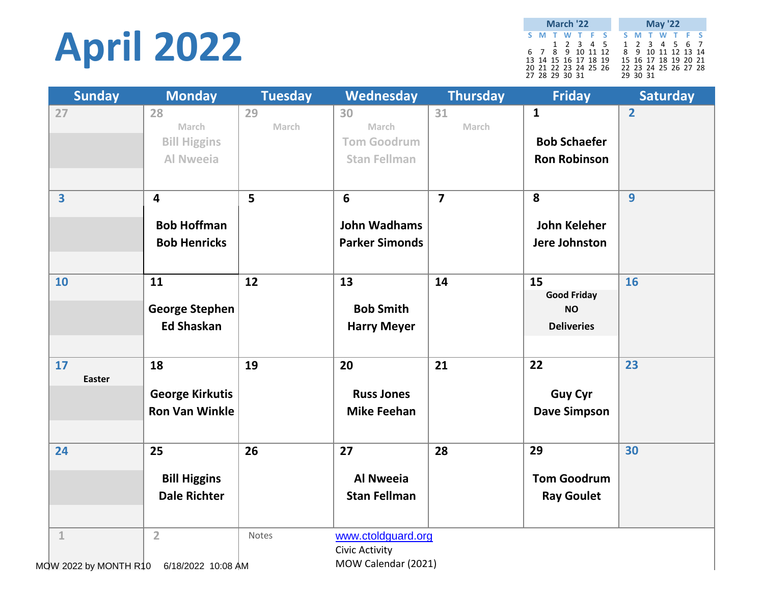# **April 2022**

**S M T W T F S S M T W T F S** 2 3 4 5 1 2 3 4 5 6 7 7 8 9 10 11 12 8 9 10 11 12 13 14 14 15 16 17 18 19 15 16 17 18 19 20 21 21 22 23 24 25 26 22 23 24 25 26 27 28 28 29 30 31 29 30 31 **March '22 May '22**

| <b>Sunday</b>           | <b>Monday</b>           | <b>Tuesday</b> | Wednesday             | <b>Thursday</b> | <b>Friday</b>        | <b>Saturday</b> |
|-------------------------|-------------------------|----------------|-----------------------|-----------------|----------------------|-----------------|
| 27                      | 28                      | 29             | 30                    | 31              | $\mathbf{1}$         | $\overline{2}$  |
|                         | March                   | March          | March                 | March           |                      |                 |
|                         | <b>Bill Higgins</b>     |                | <b>Tom Goodrum</b>    |                 | <b>Bob Schaefer</b>  |                 |
|                         | <b>Al Nweeia</b>        |                | <b>Stan Fellman</b>   |                 | <b>Ron Robinson</b>  |                 |
|                         |                         |                |                       |                 |                      |                 |
| $\overline{\mathbf{3}}$ | $\overline{\mathbf{4}}$ | 5 <sup>5</sup> | $6\phantom{1}6$       | $\overline{7}$  | 8                    | $\overline{9}$  |
|                         | <b>Bob Hoffman</b>      |                | <b>John Wadhams</b>   |                 | <b>John Keleher</b>  |                 |
|                         | <b>Bob Henricks</b>     |                | <b>Parker Simonds</b> |                 | <b>Jere Johnston</b> |                 |
|                         |                         |                |                       |                 |                      |                 |
| 10                      | 11                      | 12             | 13                    | 14              | 15                   | 16              |
|                         |                         |                |                       |                 | <b>Good Friday</b>   |                 |
|                         | <b>George Stephen</b>   |                | <b>Bob Smith</b>      |                 | <b>NO</b>            |                 |
|                         | <b>Ed Shaskan</b>       |                | <b>Harry Meyer</b>    |                 | <b>Deliveries</b>    |                 |
|                         |                         |                |                       |                 |                      |                 |
| 17                      | 18                      | 19             | 20                    | 21              | 22                   | 23              |
| <b>Easter</b>           |                         |                |                       |                 |                      |                 |
|                         | <b>George Kirkutis</b>  |                | <b>Russ Jones</b>     |                 | <b>Guy Cyr</b>       |                 |
|                         | <b>Ron Van Winkle</b>   |                | <b>Mike Feehan</b>    |                 | <b>Dave Simpson</b>  |                 |
|                         |                         |                |                       |                 |                      |                 |
| 24                      | 25                      | 26             | 27                    | 28              | 29                   | 30              |
|                         | <b>Bill Higgins</b>     |                | <b>Al Nweeia</b>      |                 | <b>Tom Goodrum</b>   |                 |
|                         | <b>Dale Richter</b>     |                | <b>Stan Fellman</b>   |                 | <b>Ray Goulet</b>    |                 |
|                         |                         |                |                       |                 |                      |                 |
| $\mathbf{1}$            | $\overline{2}$          | Notes          | www.ctoldguard.org    |                 |                      |                 |
|                         |                         |                | Civic Activity        |                 |                      |                 |
| MOW 2022 by MONTH R10   | 6/18/2022 10:08 AM      |                | MOW Calendar (2021)   |                 |                      |                 |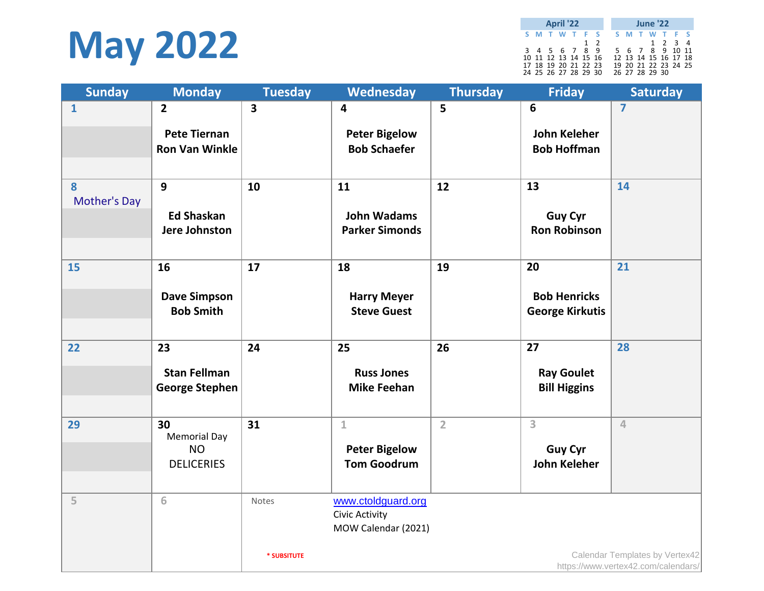

**S M T W T F S S M T W T F S** 1 2 1 2 3 4<br>3 4 5 6 7 8 9 5 6 7 8 9 10 11  $5 \t6 \t7 \t8 \t9 \t10 \t11$ 10 11 12 13 14 15 16 12 13 14 15 16 17 18 17 18 19 20 21 22 23 19 20 21 22 23 24 25 24 25 26 27 28 29 30 26 27 28 29 30 **April '22 June '22**

| <b>Sunday</b>       | <b>Monday</b>                           | <b>Tuesday</b>          | Wednesday                                   | <b>Thursday</b> | <b>Friday</b>                         | <b>Saturday</b>                     |
|---------------------|-----------------------------------------|-------------------------|---------------------------------------------|-----------------|---------------------------------------|-------------------------------------|
| $\mathbf{1}$        | $\overline{2}$                          | $\overline{\mathbf{3}}$ | 4                                           | 5               | 6                                     | $\overline{7}$                      |
|                     | <b>Pete Tiernan</b>                     |                         | <b>Peter Bigelow</b>                        |                 | <b>John Keleher</b>                   |                                     |
|                     | <b>Ron Van Winkle</b>                   |                         | <b>Bob Schaefer</b>                         |                 | <b>Bob Hoffman</b>                    |                                     |
|                     |                                         |                         |                                             |                 |                                       |                                     |
| 8                   | 9                                       | 10                      | 11                                          | 12              | 13                                    | 14                                  |
| <b>Mother's Day</b> |                                         |                         |                                             |                 |                                       |                                     |
|                     | <b>Ed Shaskan</b><br>Jere Johnston      |                         | <b>John Wadams</b><br><b>Parker Simonds</b> |                 | <b>Guy Cyr</b><br><b>Ron Robinson</b> |                                     |
|                     |                                         |                         |                                             |                 |                                       |                                     |
| 15                  | 16                                      | 17                      | 18                                          | 19              | 20                                    | 21                                  |
|                     |                                         |                         |                                             |                 |                                       |                                     |
|                     | <b>Dave Simpson</b><br><b>Bob Smith</b> |                         | <b>Harry Meyer</b>                          |                 | <b>Bob Henricks</b>                   |                                     |
|                     |                                         |                         | <b>Steve Guest</b>                          |                 | <b>George Kirkutis</b>                |                                     |
| 22                  | 23                                      | 24                      | 25                                          | 26              | 27                                    | 28                                  |
|                     |                                         |                         |                                             |                 |                                       |                                     |
|                     | <b>Stan Fellman</b>                     |                         | <b>Russ Jones</b>                           |                 | <b>Ray Goulet</b>                     |                                     |
|                     | <b>George Stephen</b>                   |                         | <b>Mike Feehan</b>                          |                 | <b>Bill Higgins</b>                   |                                     |
| 29                  | 30                                      | 31                      | $\mathbbm{1}$                               | $\overline{2}$  | $\overline{3}$                        | $\overline{4}$                      |
|                     | <b>Memorial Day</b>                     |                         |                                             |                 |                                       |                                     |
|                     | <b>NO</b>                               |                         | <b>Peter Bigelow</b><br><b>Tom Goodrum</b>  |                 | <b>Guy Cyr</b>                        |                                     |
|                     | <b>DELICERIES</b>                       |                         |                                             |                 | <b>John Keleher</b>                   |                                     |
| 5                   | 6                                       | Notes                   | www.ctoldguard.org                          |                 |                                       |                                     |
|                     |                                         |                         | <b>Civic Activity</b>                       |                 |                                       |                                     |
|                     |                                         |                         | MOW Calendar (2021)                         |                 |                                       |                                     |
|                     |                                         | * SUBSITUTE             |                                             |                 |                                       | Calendar Templates by Vertex42      |
|                     |                                         |                         |                                             |                 |                                       | https://www.vertex42.com/calendars/ |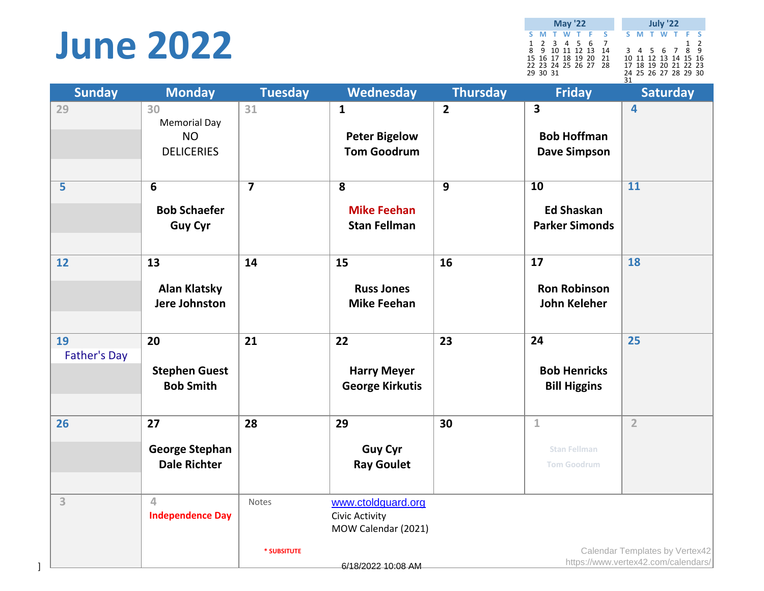# **June 2022**

**S M T W T F S S M T W T F S** 1 2 3 4 5 6 7<br>
1 2 3 4 5 6 7 8<br>
15 16 17 18 19 20 21 10 11 12 13 14 15 16<br>
22 23 24 25 26 27 28 17 18 19 20 21 22 23<br>
29 30 31 24 25 26 27 28 29 30 31 **May '22 July '22**

| <b>Sunday</b>             | <b>Monday</b>                                               | <b>Tuesday</b>       | Wednesday                                                            | <b>Thursday</b> | <b>Friday</b>                                                 | <b>Saturday</b>                     |
|---------------------------|-------------------------------------------------------------|----------------------|----------------------------------------------------------------------|-----------------|---------------------------------------------------------------|-------------------------------------|
| 29                        | 30<br><b>Memorial Day</b><br><b>NO</b><br><b>DELICERIES</b> | 31                   | $\mathbf{1}$<br><b>Peter Bigelow</b><br><b>Tom Goodrum</b>           | $\overline{2}$  | 3<br><b>Bob Hoffman</b><br><b>Dave Simpson</b>                | 4                                   |
| $\overline{\mathbf{5}}$   | $\overline{6}$<br><b>Bob Schaefer</b><br><b>Guy Cyr</b>     |                      | $\overline{\mathbf{8}}$<br><b>Mike Feehan</b><br><b>Stan Fellman</b> | $\overline{9}$  | $\overline{10}$<br><b>Ed Shaskan</b><br><b>Parker Simonds</b> | $\overline{11}$                     |
| 12                        | 13<br><b>Alan Klatsky</b><br>Jere Johnston                  | 14                   | 15<br><b>Russ Jones</b><br><b>Mike Feehan</b>                        | 16              | 17<br><b>Ron Robinson</b><br><b>John Keleher</b>              | 18                                  |
| 19<br><b>Father's Day</b> | 20<br><b>Stephen Guest</b><br><b>Bob Smith</b>              | 21                   | 22<br><b>Harry Meyer</b><br><b>George Kirkutis</b>                   | 23              | 24<br><b>Bob Henricks</b><br><b>Bill Higgins</b>              | 25                                  |
| 26                        | 27<br><b>George Stephan</b><br><b>Dale Richter</b>          | 28                   | 29<br><b>Guy Cyr</b><br><b>Ray Goulet</b>                            | 30              | $\mathbf{1}$<br><b>Stan Fellman</b><br><b>Tom Goodrum</b>     | $\overline{2}$                      |
| $\overline{3}$            | $\overline{4}$<br><b>Independence Day</b>                   | Notes<br>* SUBSITUTE | www.ctoldguard.org<br>Civic Activity<br>MOW Calendar (2021)          |                 |                                                               | Calendar Templates by Vertex42      |
|                           |                                                             |                      | 6/18/2022 10:08 AM                                                   |                 |                                                               | https://www.vertex42.com/calendars/ |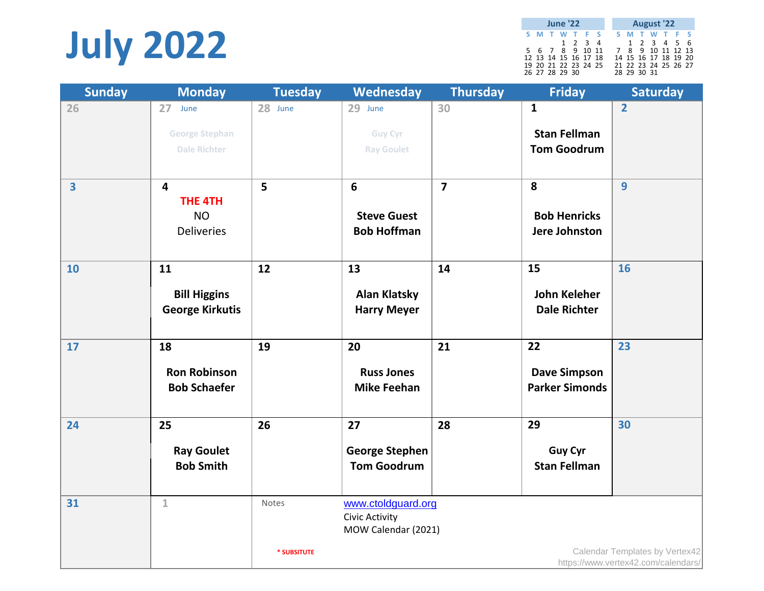# **July 2022**

|  | <b>June '22</b> |                      |  |                   |             | August '22           |  |  |
|--|-----------------|----------------------|--|-------------------|-------------|----------------------|--|--|
|  |                 | S M T W T F S        |  |                   |             | S M T W T F S        |  |  |
|  |                 | 1 2 3 4              |  |                   |             | 1 2 3 4 5 6          |  |  |
|  |                 | 5 6 7 8 9 10 11      |  | 7 8 9 10 11 12 13 |             |                      |  |  |
|  |                 | 12 13 14 15 16 17 18 |  |                   |             | 14 15 16 17 18 19 20 |  |  |
|  | 26 27 28 29 30  | 19 20 21 22 23 24 25 |  |                   | 28 29 30 31 | 21 22 23 24 25 26 27 |  |  |

| <b>Sunday</b> | <b>Monday</b>                                                               | <b>Tuesday</b> | Wednesday                                                          | <b>Thursday</b> | <b>Friday</b>                                             | <b>Saturday</b>                                                       |
|---------------|-----------------------------------------------------------------------------|----------------|--------------------------------------------------------------------|-----------------|-----------------------------------------------------------|-----------------------------------------------------------------------|
| 26            | 27 June<br><b>George Stephan</b><br><b>Dale Richter</b>                     | 28 June        | 29 June<br><b>Guy Cyr</b><br><b>Ray Goulet</b>                     | 30              | $\mathbf{1}$<br><b>Stan Fellman</b><br><b>Tom Goodrum</b> | $\overline{2}$                                                        |
| 3             | $\overline{\mathbf{4}}$<br><b>THE 4TH</b><br><b>NO</b><br><b>Deliveries</b> | 5              | $6\phantom{1}$<br><b>Steve Guest</b><br><b>Bob Hoffman</b>         | $\overline{7}$  | 8<br><b>Bob Henricks</b><br>Jere Johnston                 | $\overline{9}$                                                        |
| 10            | 11<br><b>Bill Higgins</b><br><b>George Kirkutis</b>                         | 12             | 13<br><b>Alan Klatsky</b><br><b>Harry Meyer</b>                    | 14              | 15<br><b>John Keleher</b><br><b>Dale Richter</b>          | 16                                                                    |
| 17            | 18<br><b>Ron Robinson</b><br><b>Bob Schaefer</b>                            | 19             | 20<br><b>Russ Jones</b><br><b>Mike Feehan</b>                      | 21              | 22<br><b>Dave Simpson</b><br><b>Parker Simonds</b>        | 23                                                                    |
| 24            | 25<br><b>Ray Goulet</b><br><b>Bob Smith</b>                                 | 26             | 27<br><b>George Stephen</b><br><b>Tom Goodrum</b>                  | 28              | 29<br><b>Guy Cyr</b><br><b>Stan Fellman</b>               | 30                                                                    |
| 31            | $\mathbf{1}$                                                                | Notes          | www.ctoldguard.org<br><b>Civic Activity</b><br>MOW Calendar (2021) |                 |                                                           |                                                                       |
|               |                                                                             | * SUBSITUTE    |                                                                    |                 |                                                           | Calendar Templates by Vertex42<br>https://www.vertex42.com/calendars/ |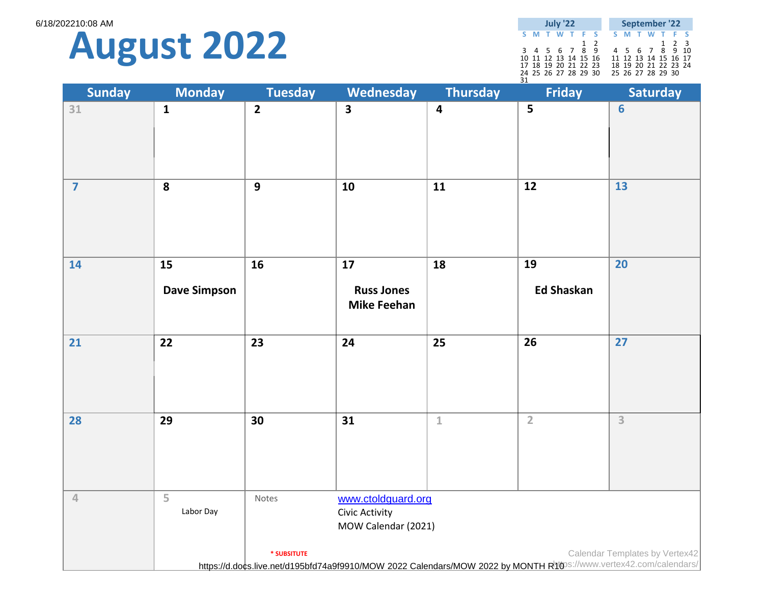6/18/202210:08 AM



|    |                      | July '22 |  |     |  |  | September '22        |             |  |
|----|----------------------|----------|--|-----|--|--|----------------------|-------------|--|
|    | S M T W T F S        |          |  |     |  |  | S M T W T F S        |             |  |
|    |                      |          |  | 1 2 |  |  |                      | $1 \t2 \t3$ |  |
|    | 3 4 5 6 7 8 9        |          |  |     |  |  | 4 5 6 7 8 9 10       |             |  |
|    | 10 11 12 13 14 15 16 |          |  |     |  |  | 11 12 13 14 15 16 17 |             |  |
|    | 17 18 19 20 21 22 23 |          |  |     |  |  | 18 19 20 21 22 23 24 |             |  |
|    | 24 25 26 27 28 29 30 |          |  |     |  |  | 25 26 27 28 29 30    |             |  |
| 31 |                      |          |  |     |  |  |                      |             |  |

| <b>Sunday</b>  | <b>Monday</b>             | <b>Tuesday</b>          | Wednesday                                                   | <b>Thursday</b>         | <b>Friday</b>                                                                                                    | <b>Saturday</b>                |
|----------------|---------------------------|-------------------------|-------------------------------------------------------------|-------------------------|------------------------------------------------------------------------------------------------------------------|--------------------------------|
| 31             | $\mathbf{1}$              | $\overline{\mathbf{2}}$ | $\overline{\mathbf{3}}$                                     | $\overline{\mathbf{4}}$ | $\overline{\mathbf{5}}$                                                                                          | $6\phantom{1}6$                |
| $\overline{7}$ | ${\bf 8}$                 | $\overline{9}$          | 10                                                          | 11                      | $\overline{12}$                                                                                                  | $\overline{13}$                |
| 14             | 15<br><b>Dave Simpson</b> | 16                      | 17<br><b>Russ Jones</b><br><b>Mike Feehan</b>               | 18                      | 19<br><b>Ed Shaskan</b>                                                                                          | 20                             |
| 21             | 22                        | 23                      | 24                                                          | 25                      | 26                                                                                                               | $\overline{27}$                |
| 28             | 29                        | 30                      | 31                                                          | $\mathbbm{1}$           | $\overline{2}$                                                                                                   | 3                              |
| $\sqrt{4}$     | 5<br>Labor Day            | Notes                   | www.ctoldguard.org<br>Civic Activity<br>MOW Calendar (2021) |                         |                                                                                                                  |                                |
|                |                           | * SUBSITUTE             |                                                             |                         | https://d.docs.live.net/d195bfd74a9f9910/MOW 2022 Calendars/MOW 2022 by MONTH Rhos://www.vertex42.com/calendars/ | Calendar Templates by Vertex42 |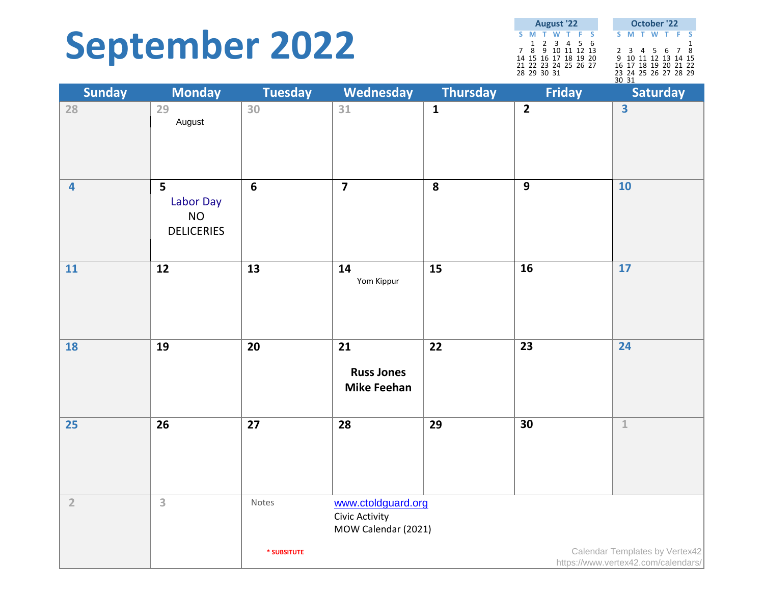# **September 2022**

| <b>August '22</b> |                      |  |             |  |  |  |  |       | October '22          |  |  |
|-------------------|----------------------|--|-------------|--|--|--|--|-------|----------------------|--|--|
|                   | S M T W T F S        |  |             |  |  |  |  |       | S M T W T F S        |  |  |
|                   |                      |  | 1 2 3 4 5 6 |  |  |  |  |       |                      |  |  |
|                   | 7 8 9 10 11 12 13    |  |             |  |  |  |  |       | 2 3 4 5 6 7 8        |  |  |
|                   | 14 15 16 17 18 19 20 |  |             |  |  |  |  |       | 9 10 11 12 13 14 15  |  |  |
|                   | 21 22 23 24 25 26 27 |  |             |  |  |  |  |       | 16 17 18 19 20 21 22 |  |  |
|                   | 28 29 30 31          |  |             |  |  |  |  |       | 23 24 25 26 27 28 29 |  |  |
|                   |                      |  |             |  |  |  |  | 30 31 |                      |  |  |

| <b>Sunday</b>           | <b>Monday</b>                                    | <b>Tuesday</b>  | Wednesday                                                   | <b>Thursday</b> | <b>Friday</b>  | <b>Saturday</b>                                                       |
|-------------------------|--------------------------------------------------|-----------------|-------------------------------------------------------------|-----------------|----------------|-----------------------------------------------------------------------|
| 28                      | 29<br>August                                     | 30              | 31                                                          | $\mathbf{1}$    | $\overline{2}$ | $\overline{\mathbf{3}}$                                               |
| $\overline{\mathbf{4}}$ | 5<br>Labor Day<br><b>NO</b><br><b>DELICERIES</b> | $6\phantom{1}6$ | $\overline{7}$                                              | 8               | $\overline{9}$ | 10                                                                    |
| 11                      | 12                                               | 13              | 14<br>Yom Kippur                                            | 15              | 16             | 17                                                                    |
| <b>18</b>               | 19                                               | 20              | 21<br><b>Russ Jones</b><br><b>Mike Feehan</b>               | 22              | 23             | 24                                                                    |
| 25                      | 26                                               | 27              | 28                                                          | 29              | 30             | $\mathbbm{1}$                                                         |
| $\overline{2}$          | $\overline{\mathbf{3}}$                          | Notes           | www.ctoldguard.org<br>Civic Activity<br>MOW Calendar (2021) |                 |                |                                                                       |
|                         |                                                  | * SUBSITUTE     |                                                             |                 |                | Calendar Templates by Vertex42<br>https://www.vertex42.com/calendars/ |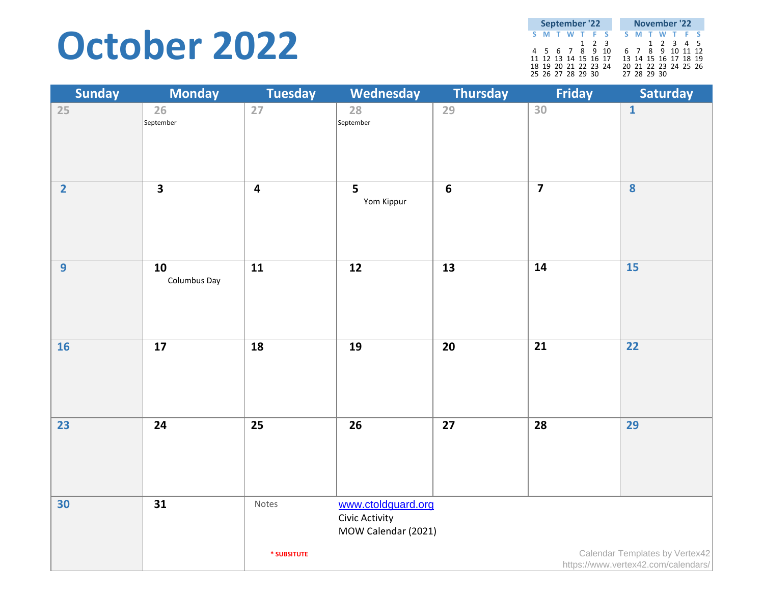## **October 2022**

| September '22        |  |  |  |       |  |  |             |  | November '22         |  |
|----------------------|--|--|--|-------|--|--|-------------|--|----------------------|--|
| S M T W T F S        |  |  |  |       |  |  |             |  | S M T W T F S        |  |
|                      |  |  |  | 1 2 3 |  |  |             |  | 1 2 3 4 5            |  |
| 4 5 6 7 8 9 10       |  |  |  |       |  |  |             |  | 6 7 8 9 10 11 12     |  |
| 11 12 13 14 15 16 17 |  |  |  |       |  |  |             |  | 13 14 15 16 17 18 19 |  |
| 18 19 20 21 22 23 24 |  |  |  |       |  |  |             |  | 20 21 22 23 24 25 26 |  |
| 25 26 27 28 29 30    |  |  |  |       |  |  | 27 28 29 30 |  |                      |  |

| <b>Sunday</b>  | <b>Monday</b>            | <b>Tuesday</b>          | Wednesday                                                   | <b>Thursday</b> | <b>Friday</b>           | Saturday                                                              |
|----------------|--------------------------|-------------------------|-------------------------------------------------------------|-----------------|-------------------------|-----------------------------------------------------------------------|
| 25             | 26<br>September          | 27                      | 28<br>September                                             | 29              | 30                      | $\mathbf{1}$                                                          |
| $\overline{2}$ | $\overline{\mathbf{3}}$  | $\overline{\mathbf{4}}$ | 5<br>Yom Kippur                                             | $6\phantom{a}$  | $\overline{\mathbf{z}}$ | $\overline{\mathbf{8}}$                                               |
| $\overline{9}$ | 10<br>Columbus Day       | 11                      | 12                                                          | 13              | 14                      | $\overline{15}$                                                       |
| 16             | $\overline{\mathbf{17}}$ | 18                      | 19                                                          | 20              | 21                      | $\overline{22}$                                                       |
| 23             | 24                       | 25                      | 26                                                          | 27              | 28                      | 29                                                                    |
| 30             | 31                       | Notes                   | www.ctoldguard.org<br>Civic Activity<br>MOW Calendar (2021) |                 |                         |                                                                       |
|                |                          | * SUBSITUTE             |                                                             |                 |                         | Calendar Templates by Vertex42<br>https://www.vertex42.com/calendars/ |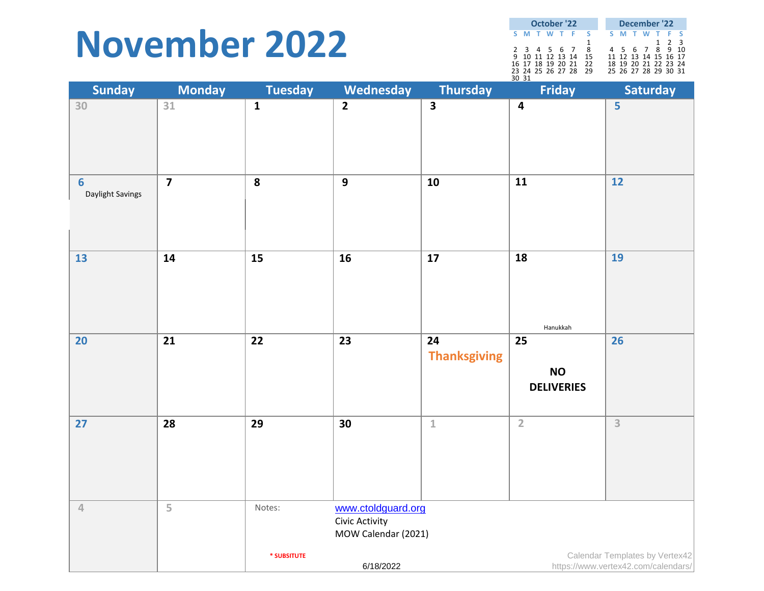### **November 2022**

| October '22       |  |  |  |          |    |  | December '22 |  |  |                      |  |             |  |
|-------------------|--|--|--|----------|----|--|--------------|--|--|----------------------|--|-------------|--|
|                   |  |  |  | SMTWTF S |    |  |              |  |  | <b>SMTWTFS</b>       |  |             |  |
|                   |  |  |  |          |    |  |              |  |  |                      |  | $1 \t2 \t3$ |  |
| 2 3 4 5 6 7       |  |  |  |          | 8  |  |              |  |  | 4 5 6 7 8 9 10       |  |             |  |
| 9 10 11 12 13 14  |  |  |  |          | 15 |  |              |  |  | 11 12 13 14 15 16 17 |  |             |  |
| 16 17 18 19 20 21 |  |  |  |          | 22 |  |              |  |  | 18 19 20 21 22 23 24 |  |             |  |
| 23 24 25 26 27 28 |  |  |  |          | 29 |  |              |  |  | 25 26 27 28 29 30 31 |  |             |  |
| 30 31             |  |  |  |          |    |  |              |  |  |                      |  |             |  |

| <b>Sunday</b>                       | <b>Monday</b>  | <b>Tuesday</b>  | Wednesday                                                   | <b>Thursday</b>           | <u>ے ںر</u><br>Friday                | <b>Saturday</b>                                                       |
|-------------------------------------|----------------|-----------------|-------------------------------------------------------------|---------------------------|--------------------------------------|-----------------------------------------------------------------------|
| 30                                  | 31             | $\mathbf{1}$    | $\overline{2}$                                              | $\overline{\mathbf{3}}$   | $\overline{\mathbf{4}}$              | 5                                                                     |
|                                     |                |                 |                                                             |                           |                                      |                                                                       |
| $6\phantom{1}6$<br>Daylight Savings | $\overline{7}$ | 8               | $\overline{9}$                                              | 10                        | $\overline{11}$                      | $12$                                                                  |
| 13                                  | 14             | $\overline{15}$ | 16                                                          | 17                        | $\overline{18}$<br>Hanukkah          | 19                                                                    |
| 20                                  | 21             | 22              | 23                                                          | 24<br><b>Thanksgiving</b> | 25<br><b>NO</b><br><b>DELIVERIES</b> | 26                                                                    |
| 27                                  | 28             | 29              | 30                                                          | $\mathbf 1$               | $\overline{2}$                       | $\overline{3}$                                                        |
| $\sqrt{4}$                          | 5              | Notes:          | www.ctoldguard.org<br>Civic Activity<br>MOW Calendar (2021) |                           |                                      |                                                                       |
|                                     |                | * SUBSITUTE     | 6/18/2022                                                   |                           |                                      | Calendar Templates by Vertex42<br>https://www.vertex42.com/calendars/ |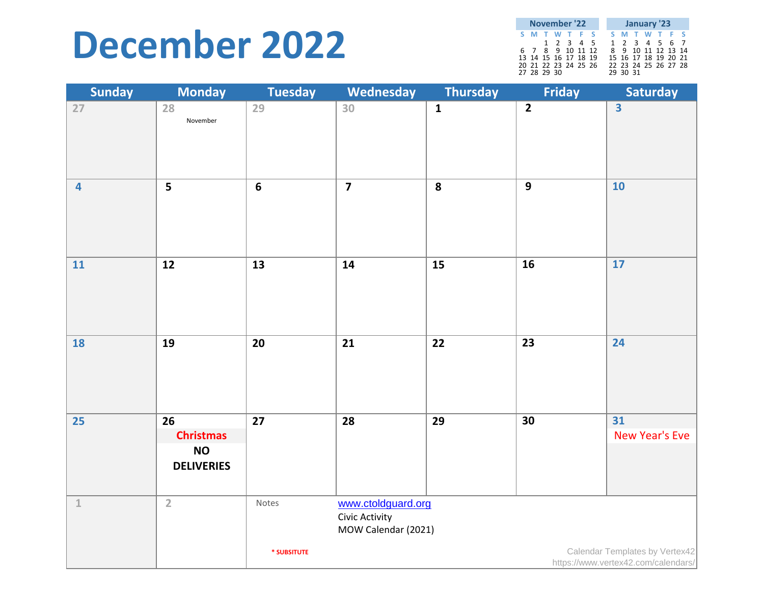### **December 2022**

| November '22         |  |           |  |  |  |  | January '23 |                      |  |  |  |  |  |
|----------------------|--|-----------|--|--|--|--|-------------|----------------------|--|--|--|--|--|
| S M T W T F S        |  |           |  |  |  |  |             | S M T W T F S        |  |  |  |  |  |
|                      |  | 1 2 3 4 5 |  |  |  |  |             | 1 2 3 4 5 6 7        |  |  |  |  |  |
| 6 7 8 9 10 11 12     |  |           |  |  |  |  |             | 8 9 10 11 12 13 14   |  |  |  |  |  |
| 13 14 15 16 17 18 19 |  |           |  |  |  |  |             | 15 16 17 18 19 20 21 |  |  |  |  |  |
| 20 21 22 23 24 25 26 |  |           |  |  |  |  |             | 22 23 24 25 26 27 28 |  |  |  |  |  |
| 27 28 29 30          |  |           |  |  |  |  |             | 29 30 31             |  |  |  |  |  |

| <b>Sunday</b>           | <b>Monday</b>                                            | <b>Tuesday</b>  | Wednesday                                                   | <b>Thursday</b> | <b>Friday</b>   | <b>Saturday</b>                                                       |
|-------------------------|----------------------------------------------------------|-----------------|-------------------------------------------------------------|-----------------|-----------------|-----------------------------------------------------------------------|
| 27                      | 28<br>November                                           | 29              | 30                                                          | $\mathbf{1}$    | $\overline{2}$  | $\overline{\mathbf{3}}$                                               |
| $\overline{\mathbf{4}}$ | 5                                                        | $6\phantom{1}6$ | $\overline{\mathbf{z}}$                                     | 8               | $\overline{9}$  | 10                                                                    |
| 11                      | $12$                                                     | 13              | 14                                                          | 15              | 16              | 17                                                                    |
| <b>18</b>               | 19                                                       | 20              | 21                                                          | 22              | 23              | 24                                                                    |
| 25                      | 26<br><b>Christmas</b><br><b>NO</b><br><b>DELIVERIES</b> | $\overline{27}$ | $\overline{28}$                                             | 29              | $\overline{30}$ | $\overline{31}$<br>New Year's Eve                                     |
| $\perp$                 | $\overline{2}$                                           | Notes           | www.ctoldguard.org<br>Civic Activity<br>MOW Calendar (2021) |                 |                 |                                                                       |
|                         |                                                          | * SUBSITUTE     |                                                             |                 |                 | Calendar Templates by Vertex42<br>https://www.vertex42.com/calendars/ |